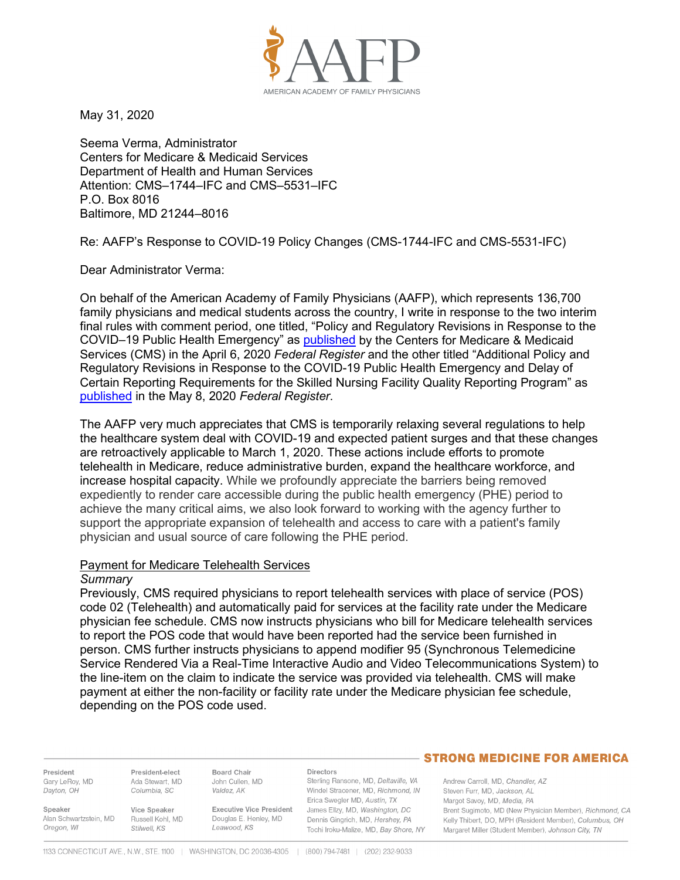

May 31, 2020

Seema Verma, Administrator Centers for Medicare & Medicaid Services Department of Health and Human Services Attention: CMS–1744–IFC and CMS–5531–IFC P.O. Box 8016 Baltimore, MD 21244–8016

Re: AAFP's Response to COVID-19 Policy Changes (CMS-1744-IFC and CMS-5531-IFC)

Dear Administrator Verma:

On behalf of the American Academy of Family Physicians (AAFP), which represents 136,700 family physicians and medical students across the country, I write in response to the two interim final rules with comment period, one titled, "Policy and Regulatory Revisions in Response to the COVID–19 Public Health Emergency" as [published](https://www.govinfo.gov/content/pkg/FR-2020-04-06/pdf/2020-06990.pdf) by the Centers for Medicare & Medicaid Services (CMS) in the April 6, 2020 *Federal Register* and the other titled "Additional Policy and Regulatory Revisions in Response to the COVID-19 Public Health Emergency and Delay of Certain Reporting Requirements for the Skilled Nursing Facility Quality Reporting Program" as [published](https://www.regulations.gov/contentStreamer?documentId=CMS-2020-0047-0001&contentType=pdf) in the May 8, 2020 *Federal Register*.

The AAFP very much appreciates that CMS is temporarily relaxing several regulations to help the healthcare system deal with COVID-19 and expected patient surges and that these changes are retroactively applicable to March 1, 2020. These actions include efforts to promote telehealth in Medicare, reduce administrative burden, expand the healthcare workforce, and increase hospital capacity. While we profoundly appreciate the barriers being removed expediently to render care accessible during the public health emergency (PHE) period to achieve the many critical aims, we also look forward to working with the agency further to support the appropriate expansion of telehealth and access to care with a patient's family physician and usual source of care following the PHE period.

# Payment for Medicare Telehealth Services

#### *Summary*

Previously, CMS required physicians to report telehealth services with place of service (POS) code 02 (Telehealth) and automatically paid for services at the facility rate under the Medicare physician fee schedule. CMS now instructs physicians who bill for Medicare telehealth services to report the POS code that would have been reported had the service been furnished in person. CMS further instructs physicians to append modifier 95 (Synchronous Telemedicine Service Rendered Via a Real-Time Interactive Audio and Video Telecommunications System) to the line-item on the claim to indicate the service was provided via telehealth. CMS will make payment at either the non-facility or facility rate under the Medicare physician fee schedule, depending on the POS code used.

President Gary LeRoy, MD Dayton, OH

President-elect Ada Stewart, MD Columbia, SC

**Board Chair** John Cullen, MD Valdez, AK

**Executive Vice President** 

Directors

Sterling Ransone, MD, Deltaville, VA Windel Stracener, MD, Richmond, IN Erica Swegler MD, Austin, TX James Ellzy, MD, Washington, DC Dennis Gingrich, MD, Hershey, PA Tochi Iroku-Malize, MD, Bay Shore, NY

# **STRONG MEDICINE FOR AMERICA**

Andrew Carroll, MD. Chandler, AZ Steven Furr, MD, Jackson, AL Margot Savoy, MD, Media, PA Brent Sugimoto, MD (New Physician Member), Richmond, CA Kelly Thibert, DO, MPH (Resident Member), Columbus, OH Margaret Miller (Student Member), Johnson City, TN

Speaker Alan Schwartzstein, MD Oregon, WI

Vice Speaker Russell Kohl, MD Stilwell, KS

Douglas E. Henley, MD Leawood, KS

1133 CONNECTICUT AVE., N.W., STE. 1100 | WASHINGTON, DC 20036-4305 | (800) 794-7481 | (202) 232-9033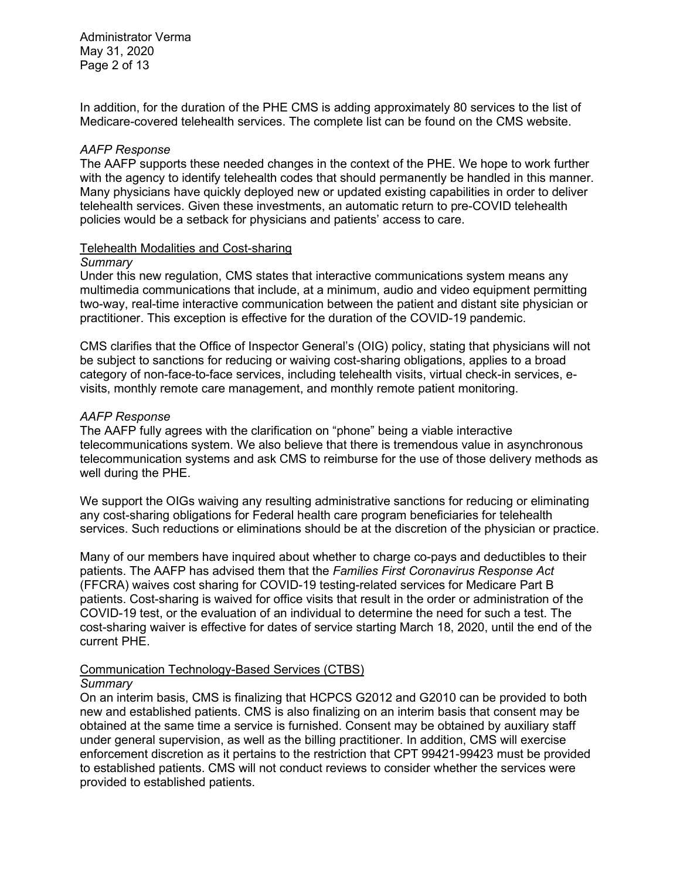Administrator Verma May 31, 2020 Page 2 of 13

In addition, for the duration of the PHE CMS is adding approximately 80 services to the list of Medicare-covered telehealth services. The complete list can be found on the CMS website.

# *AAFP Response*

The AAFP supports these needed changes in the context of the PHE. We hope to work further with the agency to identify telehealth codes that should permanently be handled in this manner. Many physicians have quickly deployed new or updated existing capabilities in order to deliver telehealth services. Given these investments, an automatic return to pre-COVID telehealth policies would be a setback for physicians and patients' access to care.

#### Telehealth Modalities and Cost-sharing

#### *Summary*

Under this new regulation, CMS states that interactive communications system means any multimedia communications that include, at a minimum, audio and video equipment permitting two-way, real-time interactive communication between the patient and distant site physician or practitioner. This exception is effective for the duration of the COVID-19 pandemic.

CMS clarifies that the Office of Inspector General's (OIG) policy, stating that physicians will not be subject to sanctions for reducing or waiving cost-sharing obligations, applies to a broad category of non-face-to-face services, including telehealth visits, virtual check-in services, evisits, monthly remote care management, and monthly remote patient monitoring.

# *AAFP Response*

The AAFP fully agrees with the clarification on "phone" being a viable interactive telecommunications system. We also believe that there is tremendous value in asynchronous telecommunication systems and ask CMS to reimburse for the use of those delivery methods as well during the PHE.

We support the OIGs waiving any resulting administrative sanctions for reducing or eliminating any cost-sharing obligations for Federal health care program beneficiaries for telehealth services. Such reductions or eliminations should be at the discretion of the physician or practice.

Many of our members have inquired about whether to charge co-pays and deductibles to their patients. The AAFP has advised them that the *Families First Coronavirus Response Act*  (FFCRA) waives cost sharing for COVID-19 testing-related services for Medicare Part B patients. Cost-sharing is waived for office visits that result in the order or administration of the COVID-19 test, or the evaluation of an individual to determine the need for such a test. The cost-sharing waiver is effective for dates of service starting March 18, 2020, until the end of the current PHE.

# Communication Technology-Based Services (CTBS)

# *Summary*

On an interim basis, CMS is finalizing that HCPCS G2012 and G2010 can be provided to both new and established patients. CMS is also finalizing on an interim basis that consent may be obtained at the same time a service is furnished. Consent may be obtained by auxiliary staff under general supervision, as well as the billing practitioner. In addition, CMS will exercise enforcement discretion as it pertains to the restriction that CPT 99421-99423 must be provided to established patients. CMS will not conduct reviews to consider whether the services were provided to established patients.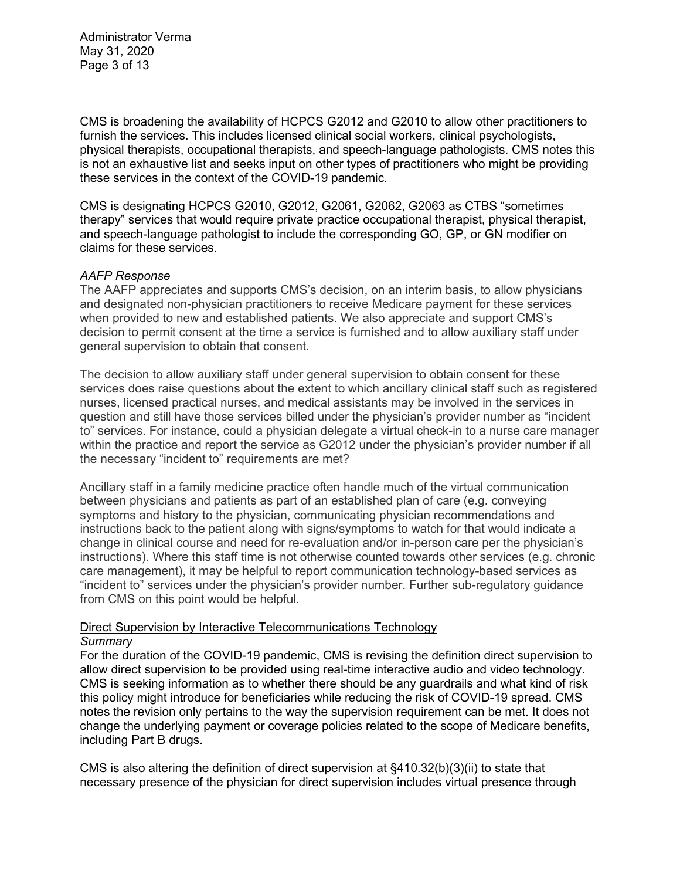Administrator Verma May 31, 2020 Page 3 of 13

CMS is broadening the availability of HCPCS G2012 and G2010 to allow other practitioners to furnish the services. This includes licensed clinical social workers, clinical psychologists, physical therapists, occupational therapists, and speech-language pathologists. CMS notes this is not an exhaustive list and seeks input on other types of practitioners who might be providing these services in the context of the COVID-19 pandemic.

CMS is designating HCPCS G2010, G2012, G2061, G2062, G2063 as CTBS "sometimes therapy" services that would require private practice occupational therapist, physical therapist, and speech-language pathologist to include the corresponding GO, GP, or GN modifier on claims for these services.

# *AAFP Response*

The AAFP appreciates and supports CMS's decision, on an interim basis, to allow physicians and designated non-physician practitioners to receive Medicare payment for these services when provided to new and established patients. We also appreciate and support CMS's decision to permit consent at the time a service is furnished and to allow auxiliary staff under general supervision to obtain that consent.

The decision to allow auxiliary staff under general supervision to obtain consent for these services does raise questions about the extent to which ancillary clinical staff such as registered nurses, licensed practical nurses, and medical assistants may be involved in the services in question and still have those services billed under the physician's provider number as "incident to" services. For instance, could a physician delegate a virtual check-in to a nurse care manager within the practice and report the service as G2012 under the physician's provider number if all the necessary "incident to" requirements are met?

Ancillary staff in a family medicine practice often handle much of the virtual communication between physicians and patients as part of an established plan of care (e.g. conveying symptoms and history to the physician, communicating physician recommendations and instructions back to the patient along with signs/symptoms to watch for that would indicate a change in clinical course and need for re-evaluation and/or in-person care per the physician's instructions). Where this staff time is not otherwise counted towards other services (e.g. chronic care management), it may be helpful to report communication technology-based services as "incident to" services under the physician's provider number. Further sub-regulatory guidance from CMS on this point would be helpful.

# Direct Supervision by Interactive Telecommunications Technology

# *Summary*

For the duration of the COVID-19 pandemic, CMS is revising the definition direct supervision to allow direct supervision to be provided using real-time interactive audio and video technology. CMS is seeking information as to whether there should be any guardrails and what kind of risk this policy might introduce for beneficiaries while reducing the risk of COVID-19 spread. CMS notes the revision only pertains to the way the supervision requirement can be met. It does not change the underlying payment or coverage policies related to the scope of Medicare benefits, including Part B drugs.

CMS is also altering the definition of direct supervision at §410.32(b)(3)(ii) to state that necessary presence of the physician for direct supervision includes virtual presence through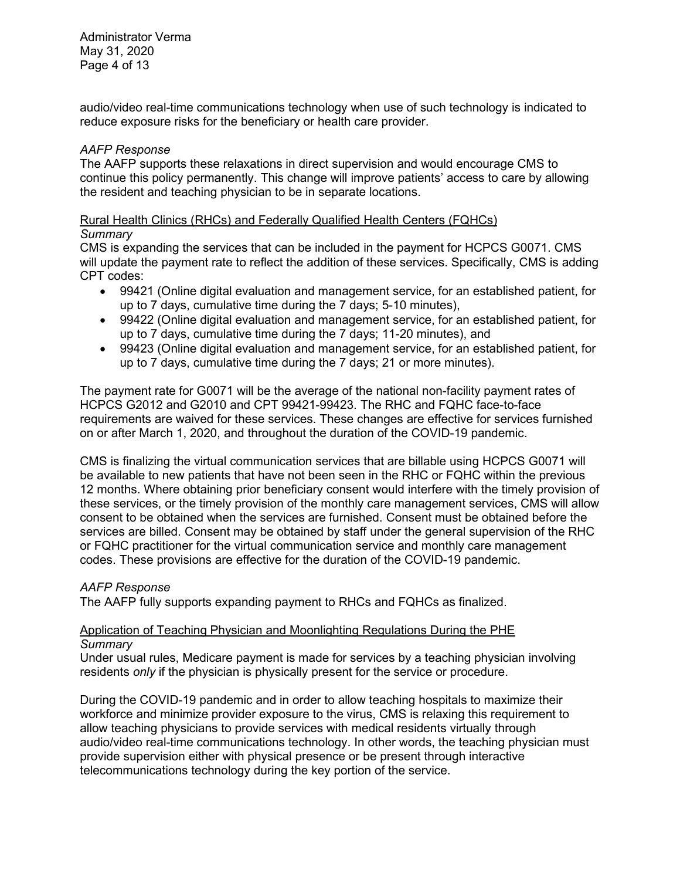Administrator Verma May 31, 2020 Page 4 of 13

audio/video real-time communications technology when use of such technology is indicated to reduce exposure risks for the beneficiary or health care provider.

# *AAFP Response*

The AAFP supports these relaxations in direct supervision and would encourage CMS to continue this policy permanently. This change will improve patients' access to care by allowing the resident and teaching physician to be in separate locations.

# Rural Health Clinics (RHCs) and Federally Qualified Health Centers (FQHCs)

# *Summary*

CMS is expanding the services that can be included in the payment for HCPCS G0071. CMS will update the payment rate to reflect the addition of these services. Specifically, CMS is adding CPT codes:

- 99421 (Online digital evaluation and management service, for an established patient, for up to 7 days, cumulative time during the 7 days; 5-10 minutes),
- 99422 (Online digital evaluation and management service, for an established patient, for up to 7 days, cumulative time during the 7 days; 11-20 minutes), and
- 99423 (Online digital evaluation and management service, for an established patient, for up to 7 days, cumulative time during the 7 days; 21 or more minutes).

The payment rate for G0071 will be the average of the national non-facility payment rates of HCPCS G2012 and G2010 and CPT 99421-99423. The RHC and FQHC face-to-face requirements are waived for these services. These changes are effective for services furnished on or after March 1, 2020, and throughout the duration of the COVID-19 pandemic.

CMS is finalizing the virtual communication services that are billable using HCPCS G0071 will be available to new patients that have not been seen in the RHC or FQHC within the previous 12 months. Where obtaining prior beneficiary consent would interfere with the timely provision of these services, or the timely provision of the monthly care management services, CMS will allow consent to be obtained when the services are furnished. Consent must be obtained before the services are billed. Consent may be obtained by staff under the general supervision of the RHC or FQHC practitioner for the virtual communication service and monthly care management codes. These provisions are effective for the duration of the COVID-19 pandemic.

# *AAFP Response*

The AAFP fully supports expanding payment to RHCs and FQHCs as finalized.

# Application of Teaching Physician and Moonlighting Regulations During the PHE *Summary*

Under usual rules, Medicare payment is made for services by a teaching physician involving residents *only* if the physician is physically present for the service or procedure.

During the COVID-19 pandemic and in order to allow teaching hospitals to maximize their workforce and minimize provider exposure to the virus, CMS is relaxing this requirement to allow teaching physicians to provide services with medical residents virtually through audio/video real-time communications technology. In other words, the teaching physician must provide supervision either with physical presence or be present through interactive telecommunications technology during the key portion of the service.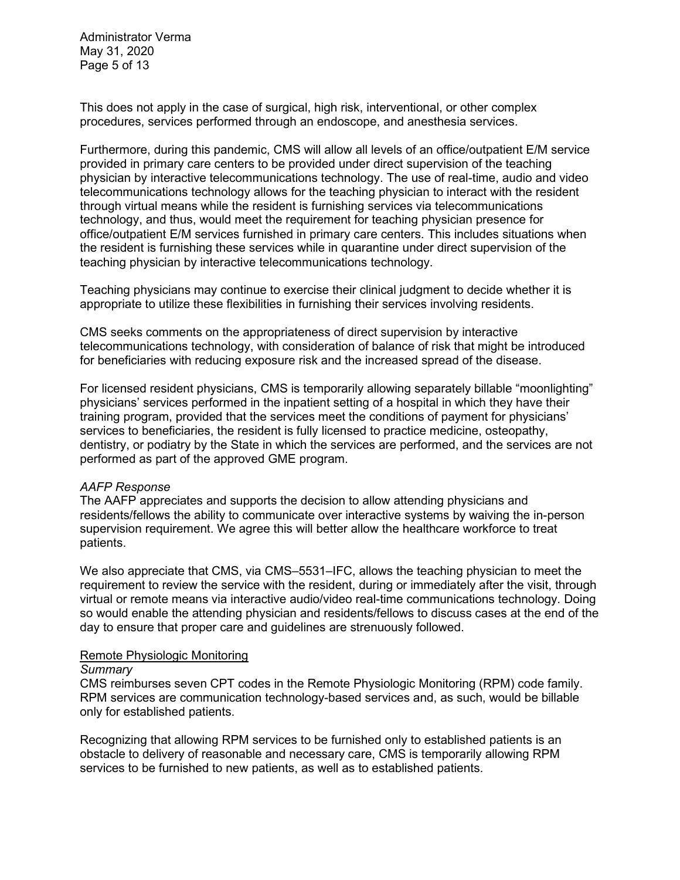Administrator Verma May 31, 2020 Page 5 of 13

This does not apply in the case of surgical, high risk, interventional, or other complex procedures, services performed through an endoscope, and anesthesia services.

Furthermore, during this pandemic, CMS will allow all levels of an office/outpatient E/M service provided in primary care centers to be provided under direct supervision of the teaching physician by interactive telecommunications technology. The use of real-time, audio and video telecommunications technology allows for the teaching physician to interact with the resident through virtual means while the resident is furnishing services via telecommunications technology, and thus, would meet the requirement for teaching physician presence for office/outpatient E/M services furnished in primary care centers. This includes situations when the resident is furnishing these services while in quarantine under direct supervision of the teaching physician by interactive telecommunications technology.

Teaching physicians may continue to exercise their clinical judgment to decide whether it is appropriate to utilize these flexibilities in furnishing their services involving residents.

CMS seeks comments on the appropriateness of direct supervision by interactive telecommunications technology, with consideration of balance of risk that might be introduced for beneficiaries with reducing exposure risk and the increased spread of the disease.

For licensed resident physicians, CMS is temporarily allowing separately billable "moonlighting" physicians' services performed in the inpatient setting of a hospital in which they have their training program, provided that the services meet the conditions of payment for physicians' services to beneficiaries, the resident is fully licensed to practice medicine, osteopathy, dentistry, or podiatry by the State in which the services are performed, and the services are not performed as part of the approved GME program.

# *AAFP Response*

The AAFP appreciates and supports the decision to allow attending physicians and residents/fellows the ability to communicate over interactive systems by waiving the in-person supervision requirement. We agree this will better allow the healthcare workforce to treat patients.

We also appreciate that CMS, via CMS–5531–IFC, allows the teaching physician to meet the requirement to review the service with the resident, during or immediately after the visit, through virtual or remote means via interactive audio/video real-time communications technology. Doing so would enable the attending physician and residents/fellows to discuss cases at the end of the day to ensure that proper care and guidelines are strenuously followed.

#### Remote Physiologic Monitoring

#### *Summary*

CMS reimburses seven CPT codes in the Remote Physiologic Monitoring (RPM) code family. RPM services are communication technology-based services and, as such, would be billable only for established patients.

Recognizing that allowing RPM services to be furnished only to established patients is an obstacle to delivery of reasonable and necessary care, CMS is temporarily allowing RPM services to be furnished to new patients, as well as to established patients.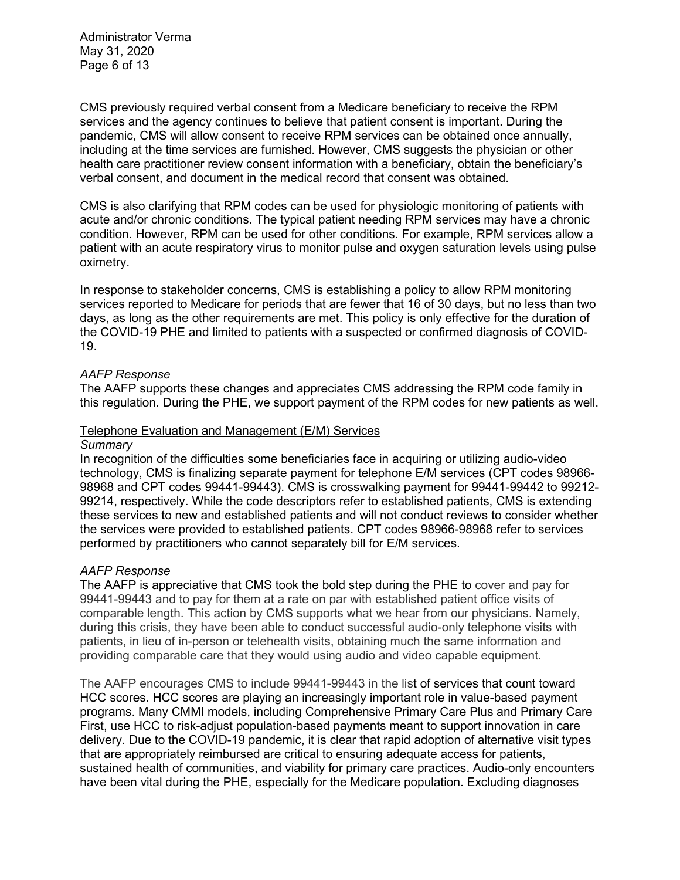Administrator Verma May 31, 2020 Page 6 of 13

CMS previously required verbal consent from a Medicare beneficiary to receive the RPM services and the agency continues to believe that patient consent is important. During the pandemic, CMS will allow consent to receive RPM services can be obtained once annually, including at the time services are furnished. However, CMS suggests the physician or other health care practitioner review consent information with a beneficiary, obtain the beneficiary's verbal consent, and document in the medical record that consent was obtained.

CMS is also clarifying that RPM codes can be used for physiologic monitoring of patients with acute and/or chronic conditions. The typical patient needing RPM services may have a chronic condition. However, RPM can be used for other conditions. For example, RPM services allow a patient with an acute respiratory virus to monitor pulse and oxygen saturation levels using pulse oximetry.

In response to stakeholder concerns, CMS is establishing a policy to allow RPM monitoring services reported to Medicare for periods that are fewer that 16 of 30 days, but no less than two days, as long as the other requirements are met. This policy is only effective for the duration of the COVID-19 PHE and limited to patients with a suspected or confirmed diagnosis of COVID-19.

# *AAFP Response*

The AAFP supports these changes and appreciates CMS addressing the RPM code family in this regulation. During the PHE, we support payment of the RPM codes for new patients as well.

# Telephone Evaluation and Management (E/M) Services

#### *Summary*

In recognition of the difficulties some beneficiaries face in acquiring or utilizing audio-video technology, CMS is finalizing separate payment for telephone E/M services (CPT codes 98966- 98968 and CPT codes 99441-99443). CMS is crosswalking payment for 99441-99442 to 99212- 99214, respectively. While the code descriptors refer to established patients, CMS is extending these services to new and established patients and will not conduct reviews to consider whether the services were provided to established patients. CPT codes 98966-98968 refer to services performed by practitioners who cannot separately bill for E/M services.

# *AAFP Response*

The AAFP is appreciative that CMS took the bold step during the PHE to cover and pay for 99441-99443 and to pay for them at a rate on par with established patient office visits of comparable length. This action by CMS supports what we hear from our physicians. Namely, during this crisis, they have been able to conduct successful audio-only telephone visits with patients, in lieu of in-person or telehealth visits, obtaining much the same information and providing comparable care that they would using audio and video capable equipment.

The AAFP encourages CMS to include 99441-99443 in the list of services that count toward HCC scores. HCC scores are playing an increasingly important role in value-based payment programs. Many CMMI models, including Comprehensive Primary Care Plus and Primary Care First, use HCC to risk-adjust population-based payments meant to support innovation in care delivery. Due to the COVID-19 pandemic, it is clear that rapid adoption of alternative visit types that are appropriately reimbursed are critical to ensuring adequate access for patients, sustained health of communities, and viability for primary care practices. Audio-only encounters have been vital during the PHE, especially for the Medicare population. Excluding diagnoses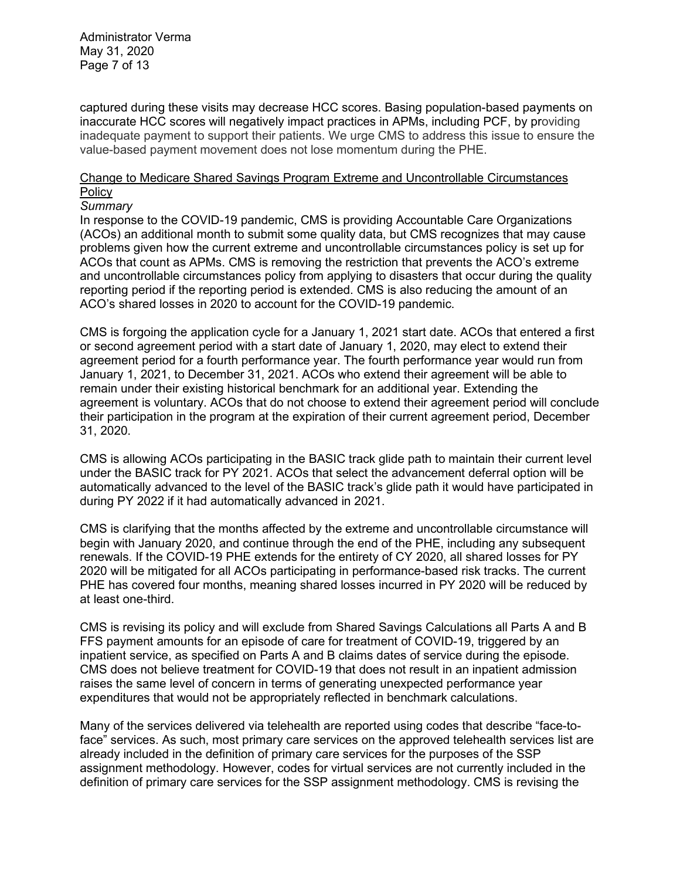Administrator Verma May 31, 2020 Page 7 of 13

captured during these visits may decrease HCC scores. Basing population-based payments on inaccurate HCC scores will negatively impact practices in APMs, including PCF, by providing inadequate payment to support their patients. We urge CMS to address this issue to ensure the value-based payment movement does not lose momentum during the PHE.

# Change to Medicare Shared Savings Program Extreme and Uncontrollable Circumstances **Policy**

#### *Summary*

In response to the COVID-19 pandemic, CMS is providing Accountable Care Organizations (ACOs) an additional month to submit some quality data, but CMS recognizes that may cause problems given how the current extreme and uncontrollable circumstances policy is set up for ACOs that count as APMs. CMS is removing the restriction that prevents the ACO's extreme and uncontrollable circumstances policy from applying to disasters that occur during the quality reporting period if the reporting period is extended. CMS is also reducing the amount of an ACO's shared losses in 2020 to account for the COVID-19 pandemic.

CMS is forgoing the application cycle for a January 1, 2021 start date. ACOs that entered a first or second agreement period with a start date of January 1, 2020, may elect to extend their agreement period for a fourth performance year. The fourth performance year would run from January 1, 2021, to December 31, 2021. ACOs who extend their agreement will be able to remain under their existing historical benchmark for an additional year. Extending the agreement is voluntary. ACOs that do not choose to extend their agreement period will conclude their participation in the program at the expiration of their current agreement period, December 31, 2020.

CMS is allowing ACOs participating in the BASIC track glide path to maintain their current level under the BASIC track for PY 2021. ACOs that select the advancement deferral option will be automatically advanced to the level of the BASIC track's glide path it would have participated in during PY 2022 if it had automatically advanced in 2021.

CMS is clarifying that the months affected by the extreme and uncontrollable circumstance will begin with January 2020, and continue through the end of the PHE, including any subsequent renewals. If the COVID-19 PHE extends for the entirety of CY 2020, all shared losses for PY 2020 will be mitigated for all ACOs participating in performance-based risk tracks. The current PHE has covered four months, meaning shared losses incurred in PY 2020 will be reduced by at least one-third.

CMS is revising its policy and will exclude from Shared Savings Calculations all Parts A and B FFS payment amounts for an episode of care for treatment of COVID-19, triggered by an inpatient service, as specified on Parts A and B claims dates of service during the episode. CMS does not believe treatment for COVID-19 that does not result in an inpatient admission raises the same level of concern in terms of generating unexpected performance year expenditures that would not be appropriately reflected in benchmark calculations.

Many of the services delivered via telehealth are reported using codes that describe "face-toface" services. As such, most primary care services on the approved telehealth services list are already included in the definition of primary care services for the purposes of the SSP assignment methodology. However, codes for virtual services are not currently included in the definition of primary care services for the SSP assignment methodology. CMS is revising the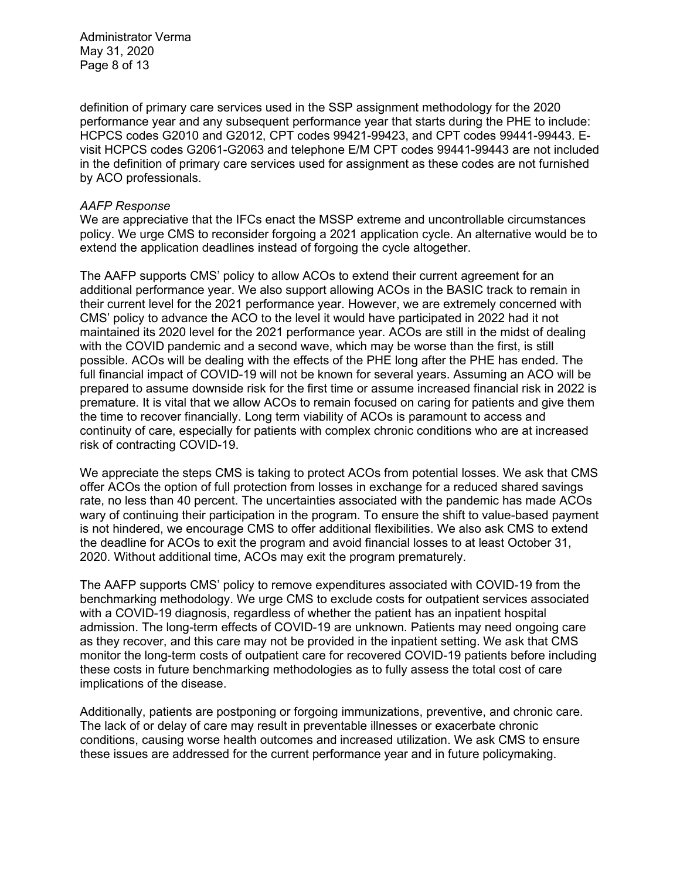Administrator Verma May 31, 2020 Page 8 of 13

definition of primary care services used in the SSP assignment methodology for the 2020 performance year and any subsequent performance year that starts during the PHE to include: HCPCS codes G2010 and G2012, CPT codes 99421-99423, and CPT codes 99441-99443. Evisit HCPCS codes G2061-G2063 and telephone E/M CPT codes 99441-99443 are not included in the definition of primary care services used for assignment as these codes are not furnished by ACO professionals.

# *AAFP Response*

We are appreciative that the IFCs enact the MSSP extreme and uncontrollable circumstances policy. We urge CMS to reconsider forgoing a 2021 application cycle. An alternative would be to extend the application deadlines instead of forgoing the cycle altogether.

The AAFP supports CMS' policy to allow ACOs to extend their current agreement for an additional performance year. We also support allowing ACOs in the BASIC track to remain in their current level for the 2021 performance year. However, we are extremely concerned with CMS' policy to advance the ACO to the level it would have participated in 2022 had it not maintained its 2020 level for the 2021 performance year. ACOs are still in the midst of dealing with the COVID pandemic and a second wave, which may be worse than the first, is still possible. ACOs will be dealing with the effects of the PHE long after the PHE has ended. The full financial impact of COVID-19 will not be known for several years. Assuming an ACO will be prepared to assume downside risk for the first time or assume increased financial risk in 2022 is premature. It is vital that we allow ACOs to remain focused on caring for patients and give them the time to recover financially. Long term viability of ACOs is paramount to access and continuity of care, especially for patients with complex chronic conditions who are at increased risk of contracting COVID-19.

We appreciate the steps CMS is taking to protect ACOs from potential losses. We ask that CMS offer ACOs the option of full protection from losses in exchange for a reduced shared savings rate, no less than 40 percent. The uncertainties associated with the pandemic has made ACOs wary of continuing their participation in the program. To ensure the shift to value-based payment is not hindered, we encourage CMS to offer additional flexibilities. We also ask CMS to extend the deadline for ACOs to exit the program and avoid financial losses to at least October 31, 2020. Without additional time, ACOs may exit the program prematurely.

The AAFP supports CMS' policy to remove expenditures associated with COVID-19 from the benchmarking methodology. We urge CMS to exclude costs for outpatient services associated with a COVID-19 diagnosis, regardless of whether the patient has an inpatient hospital admission. The long-term effects of COVID-19 are unknown. Patients may need ongoing care as they recover, and this care may not be provided in the inpatient setting. We ask that CMS monitor the long-term costs of outpatient care for recovered COVID-19 patients before including these costs in future benchmarking methodologies as to fully assess the total cost of care implications of the disease.

Additionally, patients are postponing or forgoing immunizations, preventive, and chronic care. The lack of or delay of care may result in preventable illnesses or exacerbate chronic conditions, causing worse health outcomes and increased utilization. We ask CMS to ensure these issues are addressed for the current performance year and in future policymaking.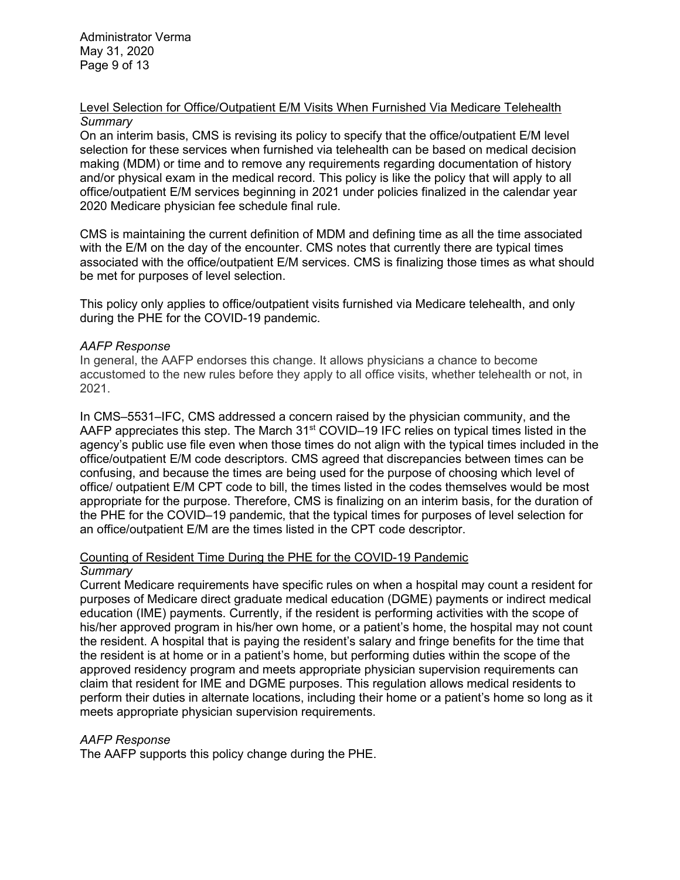Administrator Verma May 31, 2020 Page 9 of 13

# Level Selection for Office/Outpatient E/M Visits When Furnished Via Medicare Telehealth *Summary*

On an interim basis, CMS is revising its policy to specify that the office/outpatient E/M level selection for these services when furnished via telehealth can be based on medical decision making (MDM) or time and to remove any requirements regarding documentation of history and/or physical exam in the medical record. This policy is like the policy that will apply to all office/outpatient E/M services beginning in 2021 under policies finalized in the calendar year 2020 Medicare physician fee schedule final rule.

CMS is maintaining the current definition of MDM and defining time as all the time associated with the E/M on the day of the encounter. CMS notes that currently there are typical times associated with the office/outpatient E/M services. CMS is finalizing those times as what should be met for purposes of level selection.

This policy only applies to office/outpatient visits furnished via Medicare telehealth, and only during the PHE for the COVID-19 pandemic.

# *AAFP Response*

In general, the AAFP endorses this change. It allows physicians a chance to become accustomed to the new rules before they apply to all office visits, whether telehealth or not, in 2021.

In CMS–5531–IFC, CMS addressed a concern raised by the physician community, and the AAFP appreciates this step. The March  $31<sup>st</sup>$  COVID–19 IFC relies on typical times listed in the agency's public use file even when those times do not align with the typical times included in the office/outpatient E/M code descriptors. CMS agreed that discrepancies between times can be confusing, and because the times are being used for the purpose of choosing which level of office/ outpatient E/M CPT code to bill, the times listed in the codes themselves would be most appropriate for the purpose. Therefore, CMS is finalizing on an interim basis, for the duration of the PHE for the COVID–19 pandemic, that the typical times for purposes of level selection for an office/outpatient E/M are the times listed in the CPT code descriptor.

# Counting of Resident Time During the PHE for the COVID-19 Pandemic *Summary*

Current Medicare requirements have specific rules on when a hospital may count a resident for purposes of Medicare direct graduate medical education (DGME) payments or indirect medical education (IME) payments. Currently, if the resident is performing activities with the scope of his/her approved program in his/her own home, or a patient's home, the hospital may not count the resident. A hospital that is paying the resident's salary and fringe benefits for the time that the resident is at home or in a patient's home, but performing duties within the scope of the approved residency program and meets appropriate physician supervision requirements can claim that resident for IME and DGME purposes. This regulation allows medical residents to perform their duties in alternate locations, including their home or a patient's home so long as it meets appropriate physician supervision requirements.

# *AAFP Response*

The AAFP supports this policy change during the PHE.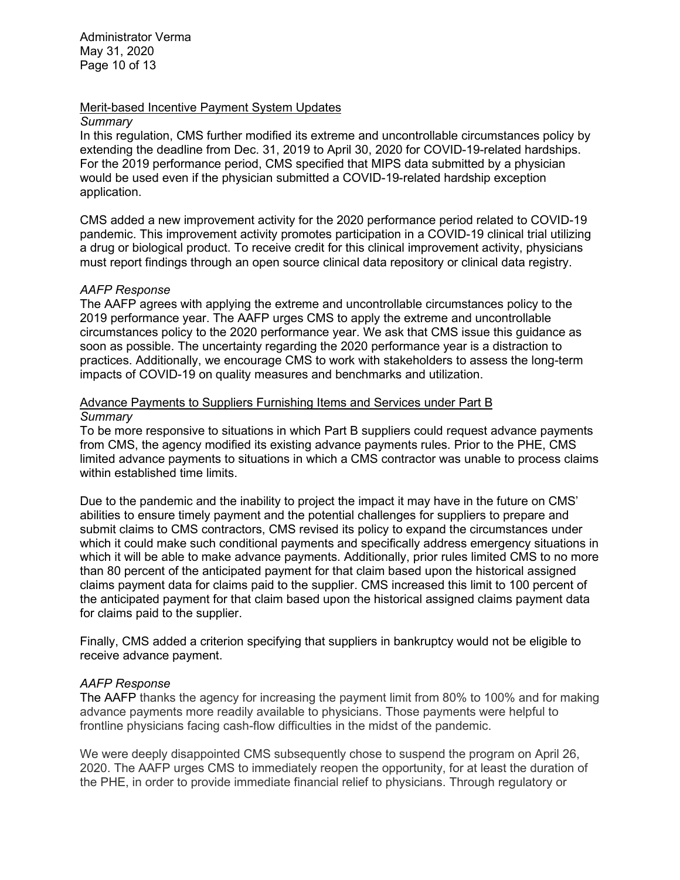Administrator Verma May 31, 2020 Page 10 of 13

# Merit-based Incentive Payment System Updates

# *Summary*

In this regulation, CMS further modified its extreme and uncontrollable circumstances policy by extending the deadline from Dec. 31, 2019 to April 30, 2020 for COVID-19-related hardships. For the 2019 performance period, CMS specified that MIPS data submitted by a physician would be used even if the physician submitted a COVID-19-related hardship exception application.

CMS added a new improvement activity for the 2020 performance period related to COVID-19 pandemic. This improvement activity promotes participation in a COVID-19 clinical trial utilizing a drug or biological product. To receive credit for this clinical improvement activity, physicians must report findings through an open source clinical data repository or clinical data registry.

# *AAFP Response*

The AAFP agrees with applying the extreme and uncontrollable circumstances policy to the 2019 performance year. The AAFP urges CMS to apply the extreme and uncontrollable circumstances policy to the 2020 performance year. We ask that CMS issue this guidance as soon as possible. The uncertainty regarding the 2020 performance year is a distraction to practices. Additionally, we encourage CMS to work with stakeholders to assess the long-term impacts of COVID-19 on quality measures and benchmarks and utilization.

# Advance Payments to Suppliers Furnishing Items and Services under Part B *Summary*

To be more responsive to situations in which Part B suppliers could request advance payments from CMS, the agency modified its existing advance payments rules. Prior to the PHE, CMS limited advance payments to situations in which a CMS contractor was unable to process claims within established time limits.

Due to the pandemic and the inability to project the impact it may have in the future on CMS' abilities to ensure timely payment and the potential challenges for suppliers to prepare and submit claims to CMS contractors, CMS revised its policy to expand the circumstances under which it could make such conditional payments and specifically address emergency situations in which it will be able to make advance payments. Additionally, prior rules limited CMS to no more than 80 percent of the anticipated payment for that claim based upon the historical assigned claims payment data for claims paid to the supplier. CMS increased this limit to 100 percent of the anticipated payment for that claim based upon the historical assigned claims payment data for claims paid to the supplier.

Finally, CMS added a criterion specifying that suppliers in bankruptcy would not be eligible to receive advance payment.

# *AAFP Response*

The AAFP thanks the agency for increasing the payment limit from 80% to 100% and for making advance payments more readily available to physicians. Those payments were helpful to frontline physicians facing cash-flow difficulties in the midst of the pandemic.

We were deeply disappointed CMS subsequently chose to suspend the program on April 26, 2020. The AAFP urges CMS to immediately reopen the opportunity, for at least the duration of the PHE, in order to provide immediate financial relief to physicians. Through regulatory or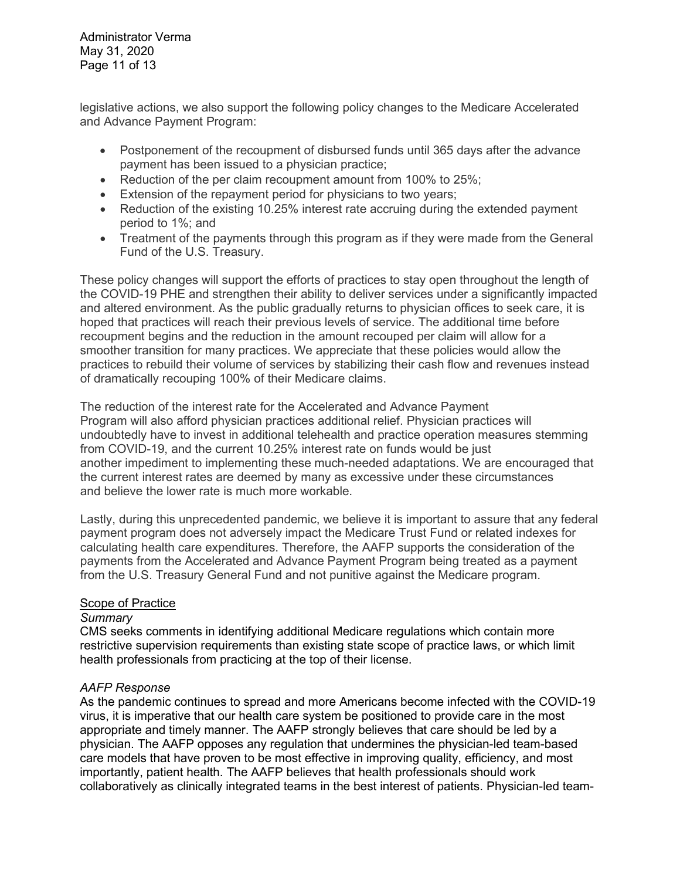Administrator Verma May 31, 2020 Page 11 of 13

legislative actions, we also support the following policy changes to the Medicare Accelerated and Advance Payment Program:

- Postponement of the recoupment of disbursed funds until 365 days after the advance payment has been issued to a physician practice;
- Reduction of the per claim recoupment amount from 100% to 25%;
- Extension of the repayment period for physicians to two years;
- Reduction of the existing 10.25% interest rate accruing during the extended payment period to 1%; and
- Treatment of the payments through this program as if they were made from the General Fund of the U.S. Treasury.

These policy changes will support the efforts of practices to stay open throughout the length of the COVID-19 PHE and strengthen their ability to deliver services under a significantly impacted and altered environment. As the public gradually returns to physician offices to seek care, it is hoped that practices will reach their previous levels of service. The additional time before recoupment begins and the reduction in the amount recouped per claim will allow for a smoother transition for many practices. We appreciate that these policies would allow the practices to rebuild their volume of services by stabilizing their cash flow and revenues instead of dramatically recouping 100% of their Medicare claims.

The reduction of the interest rate for the Accelerated and Advance Payment Program will also afford physician practices additional relief. Physician practices will undoubtedly have to invest in additional telehealth and practice operation measures stemming from COVID-19, and the current 10.25% interest rate on funds would be just another impediment to implementing these much-needed adaptations. We are encouraged that the current interest rates are deemed by many as excessive under these circumstances and believe the lower rate is much more workable.

Lastly, during this unprecedented pandemic, we believe it is important to assure that any federal payment program does not adversely impact the Medicare Trust Fund or related indexes for calculating health care expenditures. Therefore, the AAFP supports the consideration of the payments from the Accelerated and Advance Payment Program being treated as a payment from the U.S. Treasury General Fund and not punitive against the Medicare program.

# **Scope of Practice**

# *Summary*

CMS seeks comments in identifying additional Medicare regulations which contain more restrictive supervision requirements than existing state scope of practice laws, or which limit health professionals from practicing at the top of their license.

# *AAFP Response*

As the pandemic continues to spread and more Americans become infected with the COVID-19 virus, it is imperative that our health care system be positioned to provide care in the most appropriate and timely manner. The AAFP strongly believes that care should be led by a physician. The AAFP opposes any regulation that undermines the physician-led team-based care models that have proven to be most effective in improving quality, efficiency, and most importantly, patient health. The AAFP believes that health professionals should work collaboratively as clinically integrated teams in the best interest of patients. Physician-led team-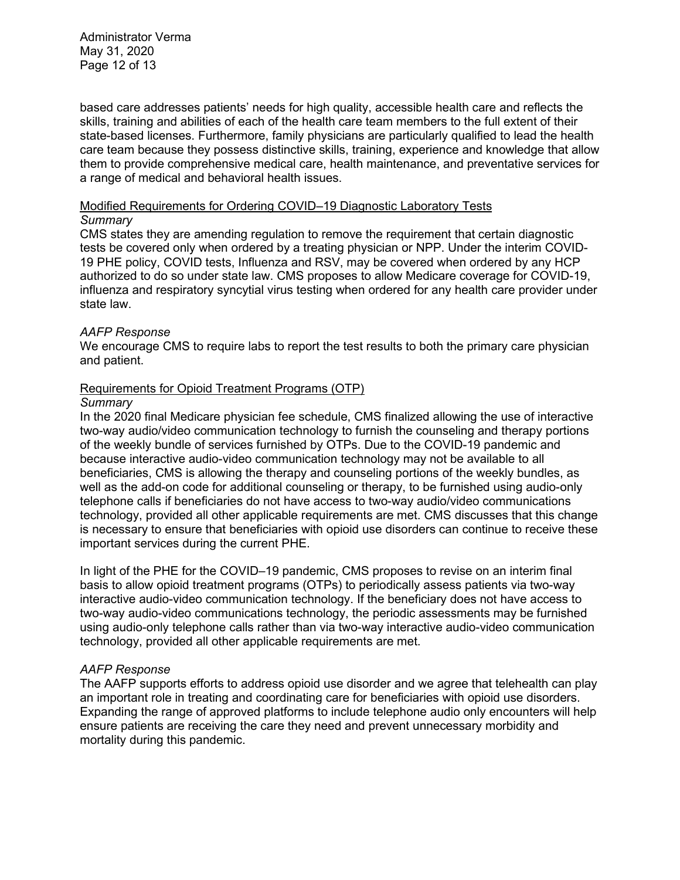Administrator Verma May 31, 2020 Page 12 of 13

based care addresses patients' needs for high quality, accessible health care and reflects the skills, training and abilities of each of the health care team members to the full extent of their state-based licenses. Furthermore, family physicians are particularly qualified to lead the health care team because they possess distinctive skills, training, experience and knowledge that allow them to provide comprehensive medical care, health maintenance, and preventative services for a range of medical and behavioral health issues.

# Modified Requirements for Ordering COVID–19 Diagnostic Laboratory Tests

# *Summary*

CMS states they are amending regulation to remove the requirement that certain diagnostic tests be covered only when ordered by a treating physician or NPP. Under the interim COVID-19 PHE policy, COVID tests, Influenza and RSV, may be covered when ordered by any HCP authorized to do so under state law. CMS proposes to allow Medicare coverage for COVID-19, influenza and respiratory syncytial virus testing when ordered for any health care provider under state law.

# *AAFP Response*

We encourage CMS to require labs to report the test results to both the primary care physician and patient.

# Requirements for Opioid Treatment Programs (OTP)

# *Summary*

In the 2020 final Medicare physician fee schedule, CMS finalized allowing the use of interactive two-way audio/video communication technology to furnish the counseling and therapy portions of the weekly bundle of services furnished by OTPs. Due to the COVID-19 pandemic and because interactive audio-video communication technology may not be available to all beneficiaries, CMS is allowing the therapy and counseling portions of the weekly bundles, as well as the add-on code for additional counseling or therapy, to be furnished using audio-only telephone calls if beneficiaries do not have access to two-way audio/video communications technology, provided all other applicable requirements are met. CMS discusses that this change is necessary to ensure that beneficiaries with opioid use disorders can continue to receive these important services during the current PHE.

In light of the PHE for the COVID–19 pandemic, CMS proposes to revise on an interim final basis to allow opioid treatment programs (OTPs) to periodically assess patients via two-way interactive audio-video communication technology. If the beneficiary does not have access to two-way audio-video communications technology, the periodic assessments may be furnished using audio-only telephone calls rather than via two-way interactive audio-video communication technology, provided all other applicable requirements are met.

# *AAFP Response*

The AAFP supports efforts to address opioid use disorder and we agree that telehealth can play an important role in treating and coordinating care for beneficiaries with opioid use disorders. Expanding the range of approved platforms to include telephone audio only encounters will help ensure patients are receiving the care they need and prevent unnecessary morbidity and mortality during this pandemic.